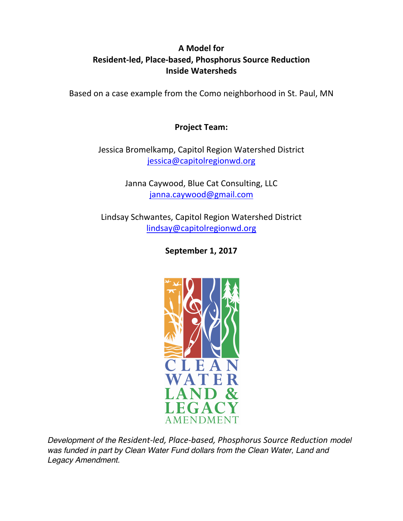# **A Model for Resident-led, Place-based, Phosphorus Source Reduction Inside Watersheds**

Based on a case example from the Como neighborhood in St. Paul, MN

# **Project Team:**

Jessica Bromelkamp, Capitol Region Watershed District jessica@capitolregionwd.org

> Janna Caywood, Blue Cat Consulting, LLC janna.caywood@gmail.com

Lindsay Schwantes, Capitol Region Watershed District lindsay@capitolregionwd.org

**September 1, 2017** 



*Development of the Resident-led, Place-based, Phosphorus Source Reduction model*  was funded in part by Clean Water Fund dollars from the Clean Water, Land and *Legacy Amendment.*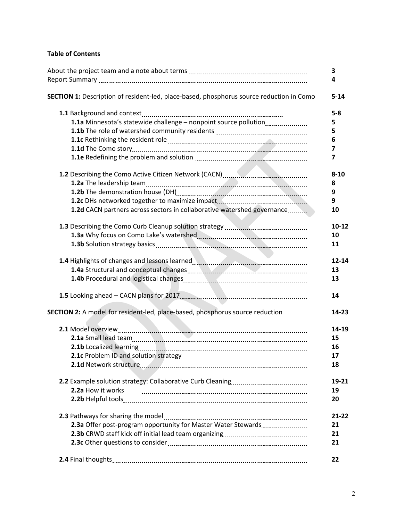# **Table of Contents**

|                                                                                                 | 3         |
|-------------------------------------------------------------------------------------------------|-----------|
|                                                                                                 | 4         |
| <b>SECTION 1:</b> Description of resident-led, place-based, phosphorus source reduction in Como | $5 - 14$  |
|                                                                                                 | $5-8$     |
| 1.1a Minnesota's statewide challenge - nonpoint source pollution                                | 5         |
|                                                                                                 | 5         |
|                                                                                                 | 6         |
|                                                                                                 | 7         |
|                                                                                                 | 7         |
|                                                                                                 | $8 - 10$  |
|                                                                                                 | 8         |
|                                                                                                 | 9         |
|                                                                                                 | 9         |
| <b>1.2d</b> CACN partners across sectors in collaborative watershed governance                  | 10        |
|                                                                                                 | $10 - 12$ |
|                                                                                                 | 10        |
|                                                                                                 | 11        |
| 1.4 Highlights of changes and lessons learned <b>Manual Accord Servers</b> 2014                 | $12 - 14$ |
|                                                                                                 | 13        |
|                                                                                                 | 13        |
|                                                                                                 | 14        |
| SECTION 2: A model for resident-led, place-based, phosphorus source reduction                   | $14 - 23$ |
|                                                                                                 | 14-19     |
|                                                                                                 | 15        |
|                                                                                                 | 16        |
|                                                                                                 | 17        |
|                                                                                                 | 18        |
|                                                                                                 | 19-21     |
| 2.2a How it works                                                                               | 19        |
|                                                                                                 | 20        |
|                                                                                                 | $21 - 22$ |
| 2.3a Offer post-program opportunity for Master Water Stewards                                   | 21        |
|                                                                                                 | 21        |
|                                                                                                 | 21        |
|                                                                                                 | 22        |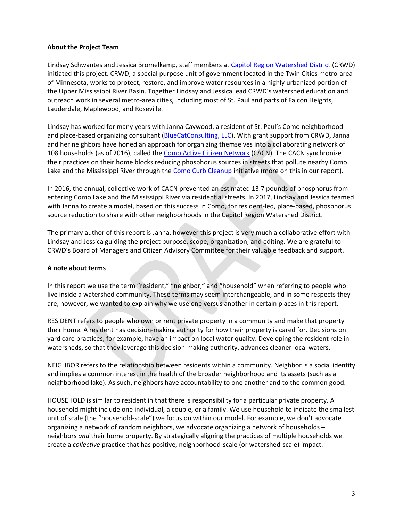## **About the Project Team**

Lindsay Schwantes and Jessica Bromelkamp, staff members at Capitol Region Watershed District (CRWD) initiated this project. CRWD, a special purpose unit of government located in the Twin Cities metro-area of Minnesota, works to protect, restore, and improve water resources in a highly urbanized portion of the Upper Mississippi River Basin. Together Lindsay and Jessica lead CRWD's watershed education and outreach work in several metro-area cities, including most of St. Paul and parts of Falcon Heights, Lauderdale, Maplewood, and Roseville.

Lindsay has worked for many years with Janna Caywood, a resident of St. Paul's Como neighborhood and place-based organizing consultant (BlueCatConsulting, LLC). With grant support from CRWD, Janna and her neighbors have honed an approach for organizing themselves into a collaborating network of 108 households (as of 2016), called the Como Active Citizen Network (CACN). The CACN synchronize their practices on their home blocks reducing phosphorus sources in streets that pollute nearby Como Lake and the Mississippi River through the Como Curb Cleanup initiative (more on this in our report).

In 2016, the annual, collective work of CACN prevented an estimated 13.7 pounds of phosphorus from entering Como Lake and the Mississippi River via residential streets. In 2017, Lindsay and Jessica teamed with Janna to create a model, based on this success in Como, for resident-led, place-based, phosphorus source reduction to share with other neighborhoods in the Capitol Region Watershed District.

The primary author of this report is Janna, however this project is very much a collaborative effort with Lindsay and Jessica guiding the project purpose, scope, organization, and editing. We are grateful to CRWD's Board of Managers and Citizen Advisory Committee for their valuable feedback and support.

## **A note about terms**

In this report we use the term "resident," "neighbor," and "household" when referring to people who live inside a watershed community. These terms may seem interchangeable, and in some respects they are, however, we wanted to explain why we use one versus another in certain places in this report.

RESIDENT refers to people who own or rent private property in a community and make that property their home. A resident has decision-making authority for how their property is cared for. Decisions on yard care practices, for example, have an impact on local water quality. Developing the resident role in watersheds, so that they leverage this decision-making authority, advances cleaner local waters.

NEIGHBOR refers to the relationship between residents within a community. Neighbor is a social identity and implies a common interest in the health of the broader neighborhood and its assets (such as a neighborhood lake). As such, neighbors have accountability to one another and to the common good.

HOUSEHOLD is similar to resident in that there is responsibility for a particular private property. A household might include one individual, a couple, or a family. We use household to indicate the smallest unit of scale (the "household-scale") we focus on within our model. For example, we don't advocate organizing a network of random neighbors, we advocate organizing a network of households neighbors *and* their home property. By strategically aligning the practices of multiple households we create a *collective* practice that has positive, neighborhood-scale (or watershed-scale) impact.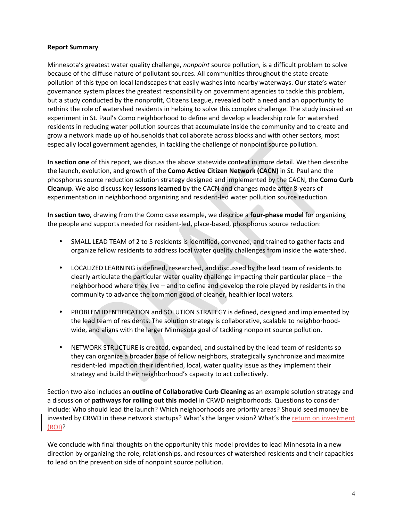## **Report Summary**

Minnesota's greatest water quality challenge, *nonpoint* source pollution, is a difficult problem to solve because of the diffuse nature of pollutant sources. All communities throughout the state create pollution of this type on local landscapes that easily washes into nearby waterways. Our state's water governance system places the greatest responsibility on government agencies to tackle this problem, but a study conducted by the nonprofit, Citizens League, revealed both a need and an opportunity to rethink the role of watershed residents in helping to solve this complex challenge. The study inspired an experiment in St. Paul's Como neighborhood to define and develop a leadership role for watershed residents in reducing water pollution sources that accumulate inside the community and to create and grow a network made up of households that collaborate across blocks and with other sectors, most especially local government agencies, in tackling the challenge of nonpoint source pollution.

In section one of this report, we discuss the above statewide context in more detail. We then describe the launch, evolution, and growth of the **Como Active Citizen Network (CACN)** in St. Paul and the phosphorus source reduction solution strategy designed and implemented by the CACN, the **Como Curb Cleanup**. We also discuss key **lessons learned** by the CACN and changes made after 8-years of experimentation in neighborhood organizing and resident-led water pollution source reduction.

**In section two**, drawing from the Como case example, we describe a **four-phase model** for organizing the people and supports needed for resident-led, place-based, phosphorus source reduction:

- SMALL LEAD TEAM of 2 to 5 residents is identified, convened, and trained to gather facts and organize fellow residents to address local water quality challenges from inside the watershed.
- LOCALIZED LEARNING is defined, researched, and discussed by the lead team of residents to clearly articulate the particular water quality challenge impacting their particular place – the neighborhood where they live – and to define and develop the role played by residents in the community to advance the common good of cleaner, healthier local waters.
- PROBLEM IDENTIFICATION and SOLUTION STRATEGY is defined, designed and implemented by the lead team of residents. The solution strategy is collaborative, scalable to neighborhoodwide, and aligns with the larger Minnesota goal of tackling nonpoint source pollution.
- NETWORK STRUCTURE is created, expanded, and sustained by the lead team of residents so they can organize a broader base of fellow neighbors, strategically synchronize and maximize resident-led impact on their identified, local, water quality issue as they implement their strategy and build their neighborhood's capacity to act collectively.

Section two also includes an **outline of Collaborative Curb Cleaning** as an example solution strategy and a discussion of **pathways for rolling out this model** in CRWD neighborhoods. Questions to consider include: Who should lead the launch? Which neighborhoods are priority areas? Should seed money be invested by CRWD in these network startups? What's the larger vision? What's the return on investment (ROI)?

We conclude with final thoughts on the opportunity this model provides to lead Minnesota in a new direction by organizing the role, relationships, and resources of watershed residents and their capacities to lead on the prevention side of nonpoint source pollution.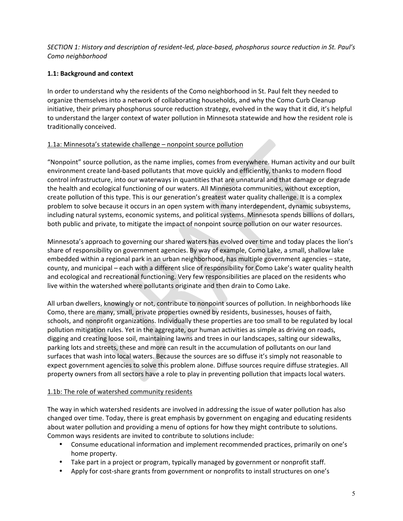# SECTION 1: History and description of resident-led, place-based, phosphorus source reduction in St. Paul's *Como neighborhood*

# **1.1: Background and context**

In order to understand why the residents of the Como neighborhood in St. Paul felt they needed to organize themselves into a network of collaborating households, and why the Como Curb Cleanup initiative, their primary phosphorus source reduction strategy, evolved in the way that it did, it's helpful to understand the larger context of water pollution in Minnesota statewide and how the resident role is traditionally conceived.

## 1.1a: Minnesota's statewide challenge - nonpoint source pollution

"Nonpoint" source pollution, as the name implies, comes from everywhere. Human activity and our built environment create land-based pollutants that move quickly and efficiently, thanks to modern flood control infrastructure, into our waterways in quantities that are unnatural and that damage or degrade the health and ecological functioning of our waters. All Minnesota communities, without exception, create pollution of this type. This is our generation's greatest water quality challenge. It is a complex problem to solve because it occurs in an open system with many interdependent, dynamic subsystems, including natural systems, economic systems, and political systems. Minnesota spends billions of dollars, both public and private, to mitigate the impact of nonpoint source pollution on our water resources.

Minnesota's approach to governing our shared waters has evolved over time and today places the lion's share of responsibility on government agencies. By way of example, Como Lake, a small, shallow lake embedded within a regional park in an urban neighborhood, has multiple government agencies – state, county, and municipal – each with a different slice of responsibility for Como Lake's water quality health and ecological and recreational functioning. Very few responsibilities are placed on the residents who live within the watershed where pollutants originate and then drain to Como Lake.

All urban dwellers, knowingly or not, contribute to nonpoint sources of pollution. In neighborhoods like Como, there are many, small, private properties owned by residents, businesses, houses of faith, schools, and nonprofit organizations. Individually these properties are too small to be regulated by local pollution mitigation rules. Yet in the aggregate, our human activities as simple as driving on roads, digging and creating loose soil, maintaining lawns and trees in our landscapes, salting our sidewalks, parking lots and streets, these and more can result in the accumulation of pollutants on our land surfaces that wash into local waters. Because the sources are so diffuse it's simply not reasonable to expect government agencies to solve this problem alone. Diffuse sources require diffuse strategies. All property owners from all sectors have a role to play in preventing pollution that impacts local waters.

## 1.1b: The role of watershed community residents

The way in which watershed residents are involved in addressing the issue of water pollution has also changed over time. Today, there is great emphasis by government on engaging and educating residents about water pollution and providing a menu of options for how they might contribute to solutions. Common ways residents are invited to contribute to solutions include:

- Consume educational information and implement recommended practices, primarily on one's home property.
- Take part in a project or program, typically managed by government or nonprofit staff.
- Apply for cost-share grants from government or nonprofits to install structures on one's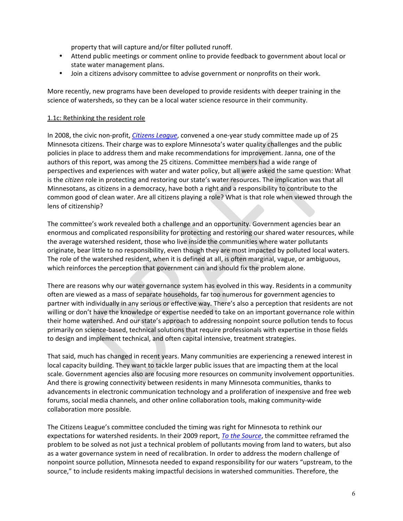property that will capture and/or filter polluted runoff.

- Attend public meetings or comment online to provide feedback to government about local or state water management plans.
- Join a citizens advisory committee to advise government or nonprofits on their work.

More recently, new programs have been developed to provide residents with deeper training in the science of watersheds, so they can be a local water science resource in their community.

## 1.1c: Rethinking the resident role

In 2008, the civic non-profit, *Citizens League*, convened a one-year study committee made up of 25 Minnesota citizens. Their charge was to explore Minnesota's water quality challenges and the public policies in place to address them and make recommendations for improvement. Janna, one of the authors of this report, was among the 25 citizens. Committee members had a wide range of perspectives and experiences with water and water policy, but all were asked the same question: What is the *citizen* role in protecting and restoring our state's water resources. The implication was that all Minnesotans, as citizens in a democracy, have both a right and a responsibility to contribute to the common good of clean water. Are all citizens playing a role? What is that role when viewed through the lens of citizenship?

The committee's work revealed both a challenge and an opportunity. Government agencies bear an enormous and complicated responsibility for protecting and restoring our shared water resources, while the average watershed resident, those who live inside the communities where water pollutants originate, bear little to no responsibility, even though they are most impacted by polluted local waters. The role of the watershed resident, when it is defined at all, is often marginal, vague, or ambiguous, which reinforces the perception that government can and should fix the problem alone.

There are reasons why our water governance system has evolved in this way. Residents in a community often are viewed as a mass of separate households, far too numerous for government agencies to partner with individually in any serious or effective way. There's also a perception that residents are not willing or don't have the knowledge or expertise needed to take on an important governance role within their home watershed. And our state's approach to addressing nonpoint source pollution tends to focus primarily on science-based, technical solutions that require professionals with expertise in those fields to design and implement technical, and often capital intensive, treatment strategies.

That said, much has changed in recent years. Many communities are experiencing a renewed interest in local capacity building. They want to tackle larger public issues that are impacting them at the local scale. Government agencies also are focusing more resources on community involvement opportunities. And there is growing connectivity between residents in many Minnesota communities, thanks to advancements in electronic communication technology and a proliferation of inexpensive and free web forums, social media channels, and other online collaboration tools, making community-wide collaboration more possible.

The Citizens League's committee concluded the timing was right for Minnesota to rethink our expectations for watershed residents. In their 2009 report, *To the Source*, the committee reframed the problem to be solved as not just a technical problem of pollutants moving from land to waters, but also as a water governance system in need of recalibration. In order to address the modern challenge of nonpoint source pollution, Minnesota needed to expand responsibility for our waters "upstream, to the source," to include residents making impactful decisions in watershed communities. Therefore, the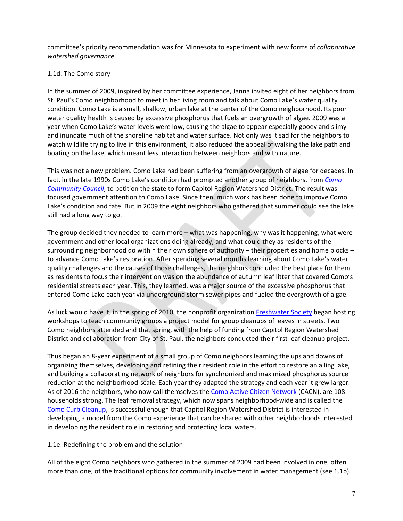committee's priority recommendation was for Minnesota to experiment with new forms of *collaborative watershed governance*.

# 1.1d: The Como story

In the summer of 2009, inspired by her committee experience, Janna invited eight of her neighbors from St. Paul's Como neighborhood to meet in her living room and talk about Como Lake's water quality condition. Como Lake is a small, shallow, urban lake at the center of the Como neighborhood. Its poor water quality health is caused by excessive phosphorus that fuels an overgrowth of algae. 2009 was a year when Como Lake's water levels were low, causing the algae to appear especially gooey and slimy and inundate much of the shoreline habitat and water surface. Not only was it sad for the neighbors to watch wildlife trying to live in this environment, it also reduced the appeal of walking the lake path and boating on the lake, which meant less interaction between neighbors and with nature.

This was not a new problem. Como Lake had been suffering from an overgrowth of algae for decades. In fact, in the late 1990s Como Lake's condition had prompted another group of neighbors, from *Como Community Council*, to petition the state to form Capitol Region Watershed District. The result was focused government attention to Como Lake. Since then, much work has been done to improve Como Lake's condition and fate. But in 2009 the eight neighbors who gathered that summer could see the lake still had a long way to go.

The group decided they needed to learn more  $-$  what was happening, why was it happening, what were government and other local organizations doing already, and what could they as residents of the surrounding neighborhood do within their own sphere of authority – their properties and home blocks – to advance Como Lake's restoration. After spending several months learning about Como Lake's water quality challenges and the causes of those challenges, the neighbors concluded the best place for them as residents to focus their intervention was on the abundance of autumn leaf litter that covered Como's residential streets each year. This, they learned, was a major source of the excessive phosphorus that entered Como Lake each year via underground storm sewer pipes and fueled the overgrowth of algae.

As luck would have it, in the spring of 2010, the nonprofit organization Freshwater Society began hosting workshops to teach community groups a project model for group cleanups of leaves in streets. Two Como neighbors attended and that spring, with the help of funding from Capitol Region Watershed District and collaboration from City of St. Paul, the neighbors conducted their first leaf cleanup project.

Thus began an 8-year experiment of a small group of Como neighbors learning the ups and downs of organizing themselves, developing and refining their resident role in the effort to restore an ailing lake, and building a collaborating network of neighbors for synchronized and maximized phosphorus source reduction at the neighborhood-scale. Each year they adapted the strategy and each year it grew larger. As of 2016 the neighbors, who now call themselves the Como Active Citizen Network (CACN), are 108 households strong. The leaf removal strategy, which now spans neighborhood-wide and is called the Como Curb Cleanup, is successful enough that Capitol Region Watershed District is interested in developing a model from the Como experience that can be shared with other neighborhoods interested in developing the resident role in restoring and protecting local waters.

## 1.1e: Redefining the problem and the solution

All of the eight Como neighbors who gathered in the summer of 2009 had been involved in one, often more than one, of the traditional options for community involvement in water management (see 1.1b).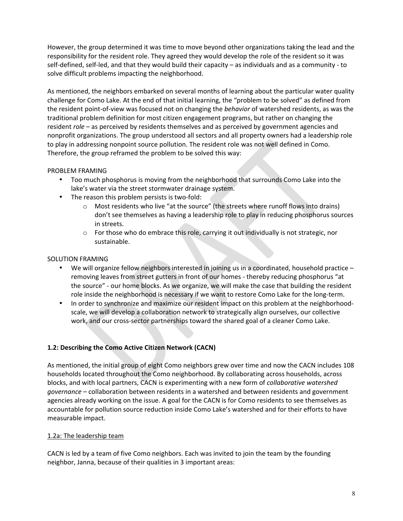However, the group determined it was time to move beyond other organizations taking the lead and the responsibility for the resident role. They agreed they would develop the role of the resident so it was self-defined, self-led, and that they would build their capacity - as individuals and as a community - to solve difficult problems impacting the neighborhood.

As mentioned, the neighbors embarked on several months of learning about the particular water quality challenge for Como Lake. At the end of that initial learning, the "problem to be solved" as defined from the resident point-of-view was focused not on changing the *behavior* of watershed residents, as was the traditional problem definition for most citizen engagement programs, but rather on changing the resident *role* – as perceived by residents themselves and as perceived by government agencies and nonprofit organizations. The group understood all sectors and all property owners had a leadership role to play in addressing nonpoint source pollution. The resident role was not well defined in Como. Therefore, the group reframed the problem to be solved this way:

## PROBLEM FRAMING

- Too much phosphorus is moving from the neighborhood that surrounds Como Lake into the lake's water via the street stormwater drainage system.
- The reason this problem persists is two-fold:
	- $\circ$  Most residents who live "at the source" (the streets where runoff flows into drains) don't see themselves as having a leadership role to play in reducing phosphorus sources in streets.
	- $\circ$  For those who do embrace this role, carrying it out individually is not strategic, nor sustainable.

# SOLUTION FRAMING

- We will organize fellow neighbors interested in joining us in a coordinated, household practice removing leaves from street gutters in front of our homes - thereby reducing phosphorus "at the source" - our home blocks. As we organize, we will make the case that building the resident role inside the neighborhood is necessary if we want to restore Como Lake for the long-term.
- In order to synchronize and maximize our resident impact on this problem at the neighborhoodscale, we will develop a collaboration network to strategically align ourselves, our collective work, and our cross-sector partnerships toward the shared goal of a cleaner Como Lake.

# 1.2: Describing the Como Active Citizen Network (CACN)

As mentioned, the initial group of eight Como neighbors grew over time and now the CACN includes 108 households located throughout the Como neighborhood. By collaborating across households, across blocks, and with local partners, CACN is experimenting with a new form of *collaborative watershed governance* – collaboration between residents in a watershed and between residents and government agencies already working on the issue. A goal for the CACN is for Como residents to see themselves as accountable for pollution source reduction inside Como Lake's watershed and for their efforts to have measurable impact.

## 1.2a: The leadership team

CACN is led by a team of five Como neighbors. Each was invited to join the team by the founding neighbor, Janna, because of their qualities in 3 important areas: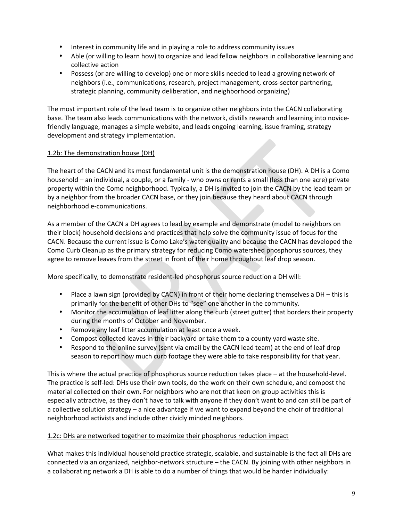- Interest in community life and in playing a role to address community issues
- Able (or willing to learn how) to organize and lead fellow neighbors in collaborative learning and collective action
- Possess (or are willing to develop) one or more skills needed to lead a growing network of neighbors (i.e., communications, research, project management, cross-sector partnering, strategic planning, community deliberation, and neighborhood organizing)

The most important role of the lead team is to organize other neighbors into the CACN collaborating base. The team also leads communications with the network, distills research and learning into novicefriendly language, manages a simple website, and leads ongoing learning, issue framing, strategy development and strategy implementation.

## 1.2b: The demonstration house (DH)

The heart of the CACN and its most fundamental unit is the demonstration house (DH). A DH is a Como household – an individual, a couple, or a family - who owns or rents a small (less than one acre) private property within the Como neighborhood. Typically, a DH is invited to join the CACN by the lead team or by a neighbor from the broader CACN base, or they join because they heard about CACN through neighborhood e-communications. 

As a member of the CACN a DH agrees to lead by example and demonstrate (model to neighbors on their block) household decisions and practices that help solve the community issue of focus for the CACN. Because the current issue is Como Lake's water quality and because the CACN has developed the Como Curb Cleanup as the primary strategy for reducing Como watershed phosphorus sources, they agree to remove leaves from the street in front of their home throughout leaf drop season.

More specifically, to demonstrate resident-led phosphorus source reduction a DH will:

- Place a lawn sign (provided by CACN) in front of their home declaring themselves a DH this is primarily for the benefit of other DHs to "see" one another in the community.
- Monitor the accumulation of leaf litter along the curb (street gutter) that borders their property during the months of October and November.
- Remove any leaf litter accumulation at least once a week.
- Compost collected leaves in their backyard or take them to a county yard waste site.
- Respond to the online survey (sent via email by the CACN lead team) at the end of leaf drop season to report how much curb footage they were able to take responsibility for that year.

This is where the actual practice of phosphorus source reduction takes place  $-$  at the household-level. The practice is self-led: DHs use their own tools, do the work on their own schedule, and compost the material collected on their own. For neighbors who are not that keen on group activities this is especially attractive, as they don't have to talk with anyone if they don't want to and can still be part of a collective solution strategy – a nice advantage if we want to expand beyond the choir of traditional neighborhood activists and include other civicly minded neighbors.

## 1.2c: DHs are networked together to maximize their phosphorus reduction impact

What makes this individual household practice strategic, scalable, and sustainable is the fact all DHs are connected via an organized, neighbor-network structure - the CACN. By joining with other neighbors in a collaborating network a DH is able to do a number of things that would be harder individually: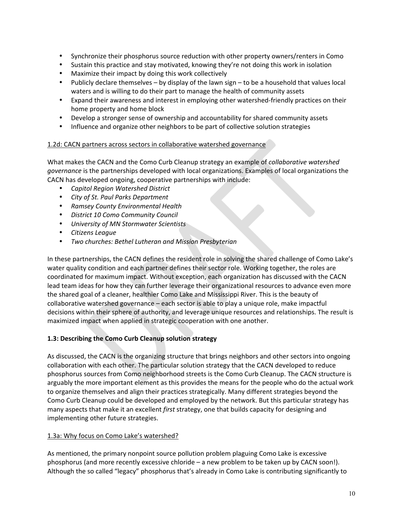- Synchronize their phosphorus source reduction with other property owners/renters in Como
- Sustain this practice and stay motivated, knowing they're not doing this work in isolation
- Maximize their impact by doing this work collectively
- Publicly declare themselves by display of the lawn sign to be a household that values local waters and is willing to do their part to manage the health of community assets
- Expand their awareness and interest in employing other watershed-friendly practices on their home property and home block
- Develop a stronger sense of ownership and accountability for shared community assets
- Influence and organize other neighbors to be part of collective solution strategies

## 1.2d: CACN partners across sectors in collaborative watershed governance

What makes the CACN and the Como Curb Cleanup strategy an example of *collaborative watershed governance* is the partnerships developed with local organizations. Examples of local organizations the CACN has developed ongoing, cooperative partnerships with include:

- *Capitol Region Watershed District*
- *City of St. Paul Parks Department*
- *Ramsey County Environmental Health*
- *District 10 Como Community Council*
- *University of MN Stormwater Scientists*
- *Citizens League*
- *Two churches: Bethel Lutheran and Mission Presbyterian*

In these partnerships, the CACN defines the resident role in solving the shared challenge of Como Lake's water quality condition and each partner defines their sector role. Working together, the roles are coordinated for maximum impact. Without exception, each organization has discussed with the CACN lead team ideas for how they can further leverage their organizational resources to advance even more the shared goal of a cleaner, healthier Como Lake and Mississippi River. This is the beauty of collaborative watershed governance – each sector is able to play a unique role, make impactful decisions within their sphere of authority, and leverage unique resources and relationships. The result is maximized impact when applied in strategic cooperation with one another.

## **1.3: Describing the Como Curb Cleanup solution strategy**

As discussed, the CACN is the organizing structure that brings neighbors and other sectors into ongoing collaboration with each other. The particular solution strategy that the CACN developed to reduce phosphorus sources from Como neighborhood streets is the Como Curb Cleanup. The CACN structure is arguably the more important element as this provides the means for the people who do the actual work to organize themselves and align their practices strategically. Many different strategies beyond the Como Curb Cleanup could be developed and employed by the network. But this particular strategy has many aspects that make it an excellent *first* strategy, one that builds capacity for designing and implementing other future strategies.

## 1.3a: Why focus on Como Lake's watershed?

As mentioned, the primary nonpoint source pollution problem plaguing Como Lake is excessive phosphorus (and more recently excessive chloride  $-$  a new problem to be taken up by CACN soon!). Although the so called "legacy" phosphorus that's already in Como Lake is contributing significantly to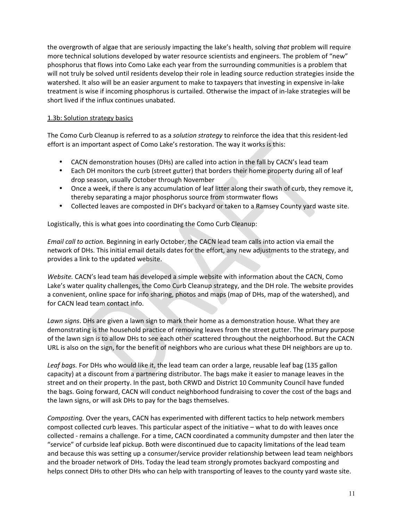the overgrowth of algae that are seriously impacting the lake's health, solving *that* problem will require more technical solutions developed by water resource scientists and engineers. The problem of "new" phosphorus that flows into Como Lake each year from the surrounding communities is a problem that will not truly be solved until residents develop their role in leading source reduction strategies inside the watershed. It also will be an easier argument to make to taxpayers that investing in expensive in-lake treatment is wise if incoming phosphorus is curtailed. Otherwise the impact of in-lake strategies will be short lived if the influx continues unabated.

# 1.3b: Solution strategy basics

The Como Curb Cleanup is referred to as a *solution strategy* to reinforce the idea that this resident-led effort is an important aspect of Como Lake's restoration. The way it works is this:

- CACN demonstration houses (DHs) are called into action in the fall by CACN's lead team
- Each DH monitors the curb (street gutter) that borders their home property during all of leaf drop season, usually October through November
- Once a week, if there is any accumulation of leaf litter along their swath of curb, they remove it, thereby separating a major phosphorus source from stormwater flows
- Collected leaves are composted in DH's backyard or taken to a Ramsey County yard waste site.

Logistically, this is what goes into coordinating the Como Curb Cleanup:

*Email call to action.* Beginning in early October, the CACN lead team calls into action via email the network of DHs. This initial email details dates for the effort, any new adjustments to the strategy, and provides a link to the updated website.

Website. CACN's lead team has developed a simple website with information about the CACN, Como Lake's water quality challenges, the Como Curb Cleanup strategy, and the DH role. The website provides a convenient, online space for info sharing, photos and maps (map of DHs, map of the watershed), and for CACN lead team contact info.

Lawn signs. DHs are given a lawn sign to mark their home as a demonstration house. What they are demonstrating is the household practice of removing leaves from the street gutter. The primary purpose of the lawn sign is to allow DHs to see each other scattered throughout the neighborhood. But the CACN URL is also on the sign, for the benefit of neighbors who are curious what these DH neighbors are up to.

Leaf bags. For DHs who would like it, the lead team can order a large, reusable leaf bag (135 gallon capacity) at a discount from a partnering distributor. The bags make it easier to manage leaves in the street and on their property. In the past, both CRWD and District 10 Community Council have funded the bags. Going forward, CACN will conduct neighborhood fundraising to cover the cost of the bags and the lawn signs, or will ask DHs to pay for the bags themselves.

*Composting.* Over the years, CACN has experimented with different tactics to help network members compost collected curb leaves. This particular aspect of the initiative – what to do with leaves once collected - remains a challenge. For a time, CACN coordinated a community dumpster and then later the "service" of curbside leaf pickup. Both were discontinued due to capacity limitations of the lead team and because this was setting up a consumer/service provider relationship between lead team neighbors and the broader network of DHs. Today the lead team strongly promotes backyard composting and helps connect DHs to other DHs who can help with transporting of leaves to the county yard waste site.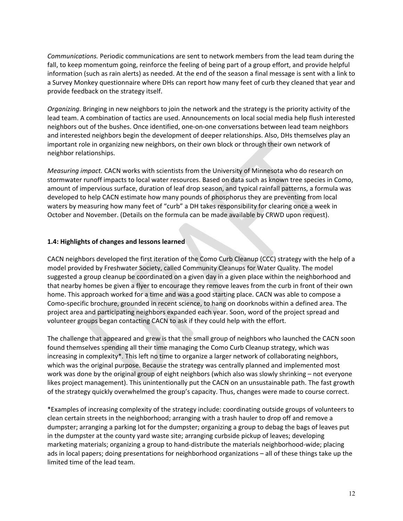*Communications.* Periodic communications are sent to network members from the lead team during the fall, to keep momentum going, reinforce the feeling of being part of a group effort, and provide helpful information (such as rain alerts) as needed. At the end of the season a final message is sent with a link to a Survey Monkey questionnaire where DHs can report how many feet of curb they cleaned that year and provide feedback on the strategy itself.

*Organizing*. Bringing in new neighbors to join the network and the strategy is the priority activity of the lead team. A combination of tactics are used. Announcements on local social media help flush interested neighbors out of the bushes. Once identified, one-on-one conversations between lead team neighbors and interested neighbors begin the development of deeper relationships. Also, DHs themselves play an important role in organizing new neighbors, on their own block or through their own network of neighbor relationships.

*Measuring impact.* CACN works with scientists from the University of Minnesota who do research on stormwater runoff impacts to local water resources. Based on data such as known tree species in Como, amount of impervious surface, duration of leaf drop season, and typical rainfall patterns, a formula was developed to help CACN estimate how many pounds of phosphorus they are preventing from local waters by measuring how many feet of "curb" a DH takes responsibility for clearing once a week in October and November. (Details on the formula can be made available by CRWD upon request).

## **1.4: Highlights of changes and lessons learned**

CACN neighbors developed the first iteration of the Como Curb Cleanup (CCC) strategy with the help of a model provided by Freshwater Society, called Community Cleanups for Water Quality. The model suggested a group cleanup be coordinated on a given day in a given place within the neighborhood and that nearby homes be given a flyer to encourage they remove leaves from the curb in front of their own home. This approach worked for a time and was a good starting place. CACN was able to compose a Como-specific brochure, grounded in recent science, to hang on doorknobs within a defined area. The project area and participating neighbors expanded each year. Soon, word of the project spread and volunteer groups began contacting CACN to ask if they could help with the effort.

The challenge that appeared and grew is that the small group of neighbors who launched the CACN soon found themselves spending all their time managing the Como Curb Cleanup strategy, which was increasing in complexity\*. This left no time to organize a larger network of collaborating neighbors, which was the original purpose. Because the strategy was centrally planned and implemented most work was done by the original group of eight neighbors (which also was slowly shrinking – not everyone likes project management). This unintentionally put the CACN on an unsustainable path. The fast growth of the strategy quickly overwhelmed the group's capacity. Thus, changes were made to course correct.

\*Examples of increasing complexity of the strategy include: coordinating outside groups of volunteers to clean certain streets in the neighborhood; arranging with a trash hauler to drop off and remove a dumpster; arranging a parking lot for the dumpster; organizing a group to debag the bags of leaves put in the dumpster at the county yard waste site; arranging curbside pickup of leaves; developing marketing materials; organizing a group to hand-distribute the materials neighborhood-wide; placing ads in local papers; doing presentations for neighborhood organizations - all of these things take up the limited time of the lead team.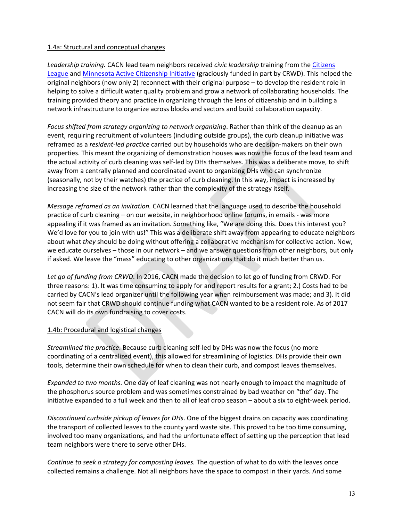# 1.4a: Structural and conceptual changes

Leadership training. CACN lead team neighbors received *civic leadership* training from the Citizens League and Minnesota Active Citizenship Initiative (graciously funded in part by CRWD). This helped the original neighbors (now only 2) reconnect with their original purpose - to develop the resident role in helping to solve a difficult water quality problem and grow a network of collaborating households. The training provided theory and practice in organizing through the lens of citizenship and in building a network infrastructure to organize across blocks and sectors and build collaboration capacity.

*Focus* shifted from strategy organizing to network organizing. Rather than think of the cleanup as an event, requiring recruitment of volunteers (including outside groups), the curb cleanup initiative was reframed as a *resident-led practice* carried out by households who are decision-makers on their own properties. This meant the organizing of demonstration houses was now the focus of the lead team and the actual activity of curb cleaning was self-led by DHs themselves. This was a deliberate move, to shift away from a centrally planned and coordinated event to organizing DHs who can synchronize (seasonally, not by their watches) the practice of curb cleaning. In this way, impact is increased by increasing the size of the network rather than the complexity of the strategy itself.

*Message reframed as an invitation.* CACN learned that the language used to describe the household practice of curb cleaning – on our website, in neighborhood online forums, in emails - was more appealing if it was framed as an invitation. Something like, "We are doing this. Does this interest you? We'd love for you to join with us!" This was a deliberate shift away from appearing to educate neighbors about what *they* should be doing without offering a collaborative mechanism for collective action. Now, we educate ourselves – those in our network – and we answer questions from other neighbors, but only if asked. We leave the "mass" educating to other organizations that do it much better than us.

Let go of funding from CRWD. In 2016, CACN made the decision to let go of funding from CRWD. For three reasons: 1). It was time consuming to apply for and report results for a grant; 2.) Costs had to be carried by CACN's lead organizer until the following year when reimbursement was made; and 3). It did not seem fair that CRWD should continue funding what CACN wanted to be a resident role. As of 2017 CACN will do its own fundraising to cover costs.

## 1.4b: Procedural and logistical changes

*Streamlined the practice*. Because curb cleaning self-led by DHs was now the focus (no more coordinating of a centralized event), this allowed for streamlining of logistics. DHs provide their own tools, determine their own schedule for when to clean their curb, and compost leaves themselves.

*Expanded to two months.* One day of leaf cleaning was not nearly enough to impact the magnitude of the phosphorus source problem and was sometimes constrained by bad weather on "the" day. The initiative expanded to a full week and then to all of leaf drop season – about a six to eight-week period.

*Discontinued curbside pickup of leaves for DHs.* One of the biggest drains on capacity was coordinating the transport of collected leaves to the county yard waste site. This proved to be too time consuming, involved too many organizations, and had the unfortunate effect of setting up the perception that lead team neighbors were there to serve other DHs.

*Continue to seek a strategy for composting leaves.* The question of what to do with the leaves once collected remains a challenge. Not all neighbors have the space to compost in their yards. And some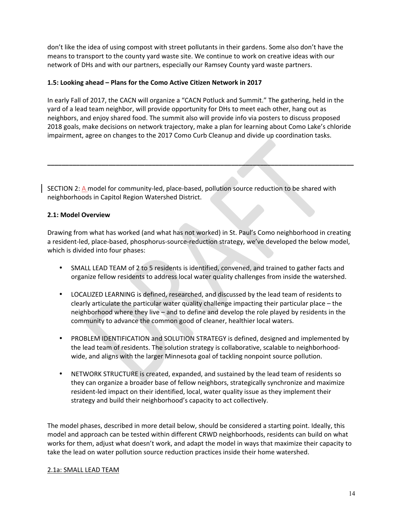don't like the idea of using compost with street pollutants in their gardens. Some also don't have the means to transport to the county yard waste site. We continue to work on creative ideas with our network of DHs and with our partners, especially our Ramsey County yard waste partners.

## 1.5: Looking ahead - Plans for the Como Active Citizen Network in 2017

In early Fall of 2017, the CACN will organize a "CACN Potluck and Summit." The gathering, held in the yard of a lead team neighbor, will provide opportunity for DHs to meet each other, hang out as neighbors, and enjoy shared food. The summit also will provide info via posters to discuss proposed 2018 goals, make decisions on network trajectory, make a plan for learning about Como Lake's chloride impairment, agree on changes to the 2017 Como Curb Cleanup and divide up coordination tasks.

**\_\_\_\_\_\_\_\_\_\_\_\_\_\_\_\_\_\_\_\_\_\_\_\_\_\_\_\_\_\_\_\_\_\_\_\_\_\_\_\_\_\_\_\_\_\_\_\_\_\_\_\_\_\_\_\_\_\_\_\_\_\_\_\_\_\_\_\_\_\_\_\_\_\_\_\_\_\_\_\_\_\_\_\_\_**

SECTION 2: A model for community-led, place-based, pollution source reduction to be shared with neighborhoods in Capitol Region Watershed District.

## **2.1: Model Overview**

Drawing from what has worked (and what has not worked) in St. Paul's Como neighborhood in creating a resident-led, place-based, phosphorus-source-reduction strategy, we've developed the below model, which is divided into four phases:

- SMALL LEAD TEAM of 2 to 5 residents is identified, convened, and trained to gather facts and organize fellow residents to address local water quality challenges from inside the watershed.
- LOCALIZED LEARNING is defined, researched, and discussed by the lead team of residents to clearly articulate the particular water quality challenge impacting their particular place – the neighborhood where they live – and to define and develop the role played by residents in the community to advance the common good of cleaner, healthier local waters.
- PROBLEM IDENTIFICATION and SOLUTION STRATEGY is defined, designed and implemented by the lead team of residents. The solution strategy is collaborative, scalable to neighborhoodwide, and aligns with the larger Minnesota goal of tackling nonpoint source pollution.
- NETWORK STRUCTURE is created, expanded, and sustained by the lead team of residents so they can organize a broader base of fellow neighbors, strategically synchronize and maximize resident-led impact on their identified, local, water quality issue as they implement their strategy and build their neighborhood's capacity to act collectively.

The model phases, described in more detail below, should be considered a starting point. Ideally, this model and approach can be tested within different CRWD neighborhoods, residents can build on what works for them, adjust what doesn't work, and adapt the model in ways that maximize their capacity to take the lead on water pollution source reduction practices inside their home watershed.

## 2.1a: SMALL LEAD TEAM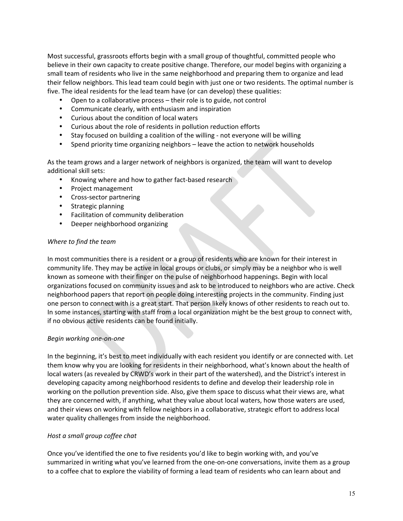Most successful, grassroots efforts begin with a small group of thoughtful, committed people who believe in their own capacity to create positive change. Therefore, our model begins with organizing a small team of residents who live in the same neighborhood and preparing them to organize and lead their fellow neighbors. This lead team could begin with just one or two residents. The optimal number is five. The ideal residents for the lead team have (or can develop) these qualities:

- Open to a collaborative process  $-$  their role is to guide, not control
- Communicate clearly, with enthusiasm and inspiration
- Curious about the condition of local waters
- Curious about the role of residents in pollution reduction efforts
- Stay focused on building a coalition of the willing not everyone will be willing
- Spend priority time organizing neighbors leave the action to network households

As the team grows and a larger network of neighbors is organized, the team will want to develop additional skill sets:

- Knowing where and how to gather fact-based research
- Project management
- Cross-sector partnering
- Strategic planning
- Facilitation of community deliberation
- Deeper neighborhood organizing

#### *Where to find the team*

In most communities there is a resident or a group of residents who are known for their interest in community life. They may be active in local groups or clubs, or simply may be a neighbor who is well known as someone with their finger on the pulse of neighborhood happenings. Begin with local organizations focused on community issues and ask to be introduced to neighbors who are active. Check neighborhood papers that report on people doing interesting projects in the community. Finding just one person to connect with is a great start. That person likely knows of other residents to reach out to. In some instances, starting with staff from a local organization might be the best group to connect with, if no obvious active residents can be found initially.

## *Begin working one-on-one*

In the beginning, it's best to meet individually with each resident you identify or are connected with. Let them know why you are looking for residents in their neighborhood, what's known about the health of local waters (as revealed by CRWD's work in their part of the watershed), and the District's interest in developing capacity among neighborhood residents to define and develop their leadership role in working on the pollution prevention side. Also, give them space to discuss what their views are, what they are concerned with, if anything, what they value about local waters, how those waters are used, and their views on working with fellow neighbors in a collaborative, strategic effort to address local water quality challenges from inside the neighborhood.

## *Host a small group coffee chat*

Once you've identified the one to five residents you'd like to begin working with, and you've summarized in writing what you've learned from the one-on-one conversations, invite them as a group to a coffee chat to explore the viability of forming a lead team of residents who can learn about and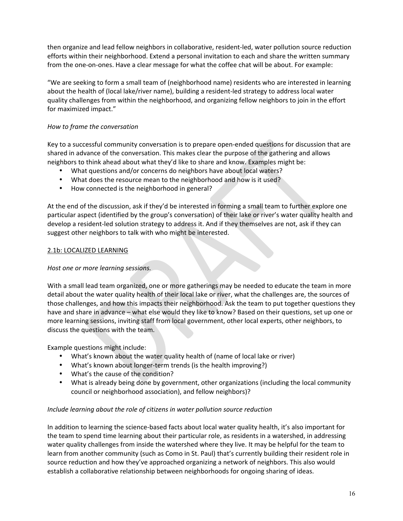then organize and lead fellow neighbors in collaborative, resident-led, water pollution source reduction efforts within their neighborhood. Extend a personal invitation to each and share the written summary from the one-on-ones. Have a clear message for what the coffee chat will be about. For example:

"We are seeking to form a small team of (neighborhood name) residents who are interested in learning about the health of (local lake/river name), building a resident-led strategy to address local water quality challenges from within the neighborhood, and organizing fellow neighbors to join in the effort for maximized impact."

# *How to frame the conversation*

Key to a successful community conversation is to prepare open-ended questions for discussion that are shared in advance of the conversation. This makes clear the purpose of the gathering and allows neighbors to think ahead about what they'd like to share and know. Examples might be:

- What questions and/or concerns do neighbors have about local waters?
- What does the resource mean to the neighborhood and how is it used?
- How connected is the neighborhood in general?

At the end of the discussion, ask if they'd be interested in forming a small team to further explore one particular aspect (identified by the group's conversation) of their lake or river's water quality health and develop a resident-led solution strategy to address it. And if they themselves are not, ask if they can suggest other neighbors to talk with who might be interested.

# 2.1b: LOCALIZED LEARNING

# Host one or more learning sessions.

With a small lead team organized, one or more gatherings may be needed to educate the team in more detail about the water quality health of their local lake or river, what the challenges are, the sources of those challenges, and how this impacts their neighborhood. Ask the team to put together questions they have and share in advance – what else would they like to know? Based on their questions, set up one or more learning sessions, inviting staff from local government, other local experts, other neighbors, to discuss the questions with the team.

Example questions might include:

- What's known about the water quality health of (name of local lake or river)
- What's known about longer-term trends (is the health improving?)
- What's the cause of the condition?
- What is already being done by government, other organizations (including the local community council or neighborhood association), and fellow neighbors)?

# *Include learning about the role of citizens in water pollution source reduction*

In addition to learning the science-based facts about local water quality health, it's also important for the team to spend time learning about their particular role, as residents in a watershed, in addressing water quality challenges from inside the watershed where they live. It may be helpful for the team to learn from another community (such as Como in St. Paul) that's currently building their resident role in source reduction and how they've approached organizing a network of neighbors. This also would establish a collaborative relationship between neighborhoods for ongoing sharing of ideas.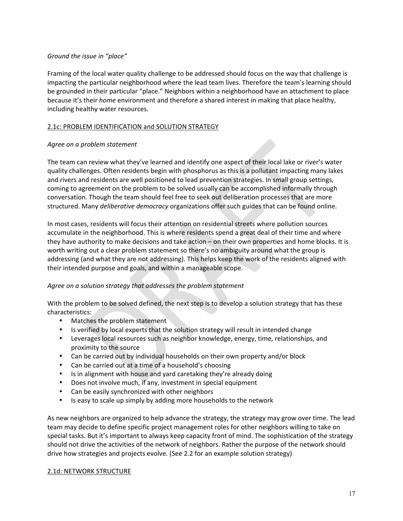# *Ground the issue in "place"*

Framing of the local water quality challenge to be addressed should focus on the way that challenge is impacting the particular neighborhood where the lead team lives. Therefore the team's learning should be grounded in their particular "place." Neighbors within a neighborhood have an attachment to place because it's their *home* environment and therefore a shared interest in making that place healthy, including healthy water resources.

## 2.1c: PROBLEM IDENTIFICATION and SOLUTION STRATEGY

## Agree on a problem statement

The team can review what they've learned and identify one aspect of their local lake or river's water quality challenges. Often residents begin with phosphorus as this is a pollutant impacting many lakes and rivers and residents are well positioned to lead prevention strategies. In small group settings, coming to agreement on the problem to be solved usually can be accomplished informally through conversation. Though the team should feel free to seek out deliberation processes that are more structured. Many *deliberative democracy* organizations offer such guides that can be found online.

In most cases, residents will focus their attention on residential streets where pollution sources accumulate in the neighborhood. This is where residents spend a great deal of their time and where they have authority to make decisions and take action – on their own properties and home blocks. It is worth writing out a clear problem statement so there's no ambiguity around what the group is addressing (and what they are not addressing). This helps keep the work of the residents aligned with their intended purpose and goals, and within a manageable scope.

# Agree on a solution strategy that addresses the problem statement

With the problem to be solved defined, the next step is to develop a solution strategy that has these characteristics:

- Matches the problem statement
- Is verified by local experts that the solution strategy will result in intended change
- Leverages local resources such as neighbor knowledge, energy, time, relationships, and proximity to the source
- Can be carried out by individual households on their own property and/or block
- Can be carried out at a time of a household's choosing
- Is in alignment with house and yard caretaking they're already doing
- Does not involve much, if any, investment in special equipment
- Can be easily synchronized with other neighbors
- Is easy to scale up simply by adding more households to the network

As new neighbors are organized to help advance the strategy, the strategy may grow over time. The lead team may decide to define specific project management roles for other neighbors willing to take on special tasks. But it's important to always keep capacity front of mind. The sophistication of the strategy should not drive the activities of the network of neighbors. Rather the purpose of the network should drive how strategies and projects evolve. (See 2.2 for an example solution strategy)

## 2.1d: NETWORK STRUCTURE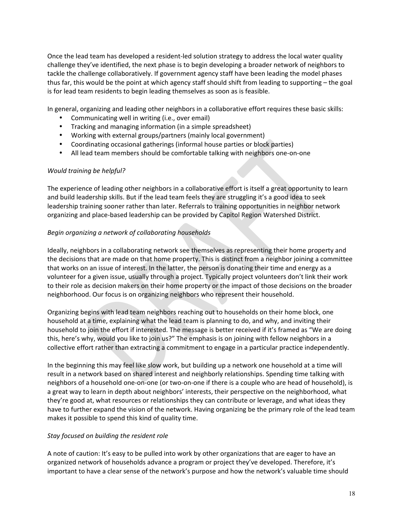Once the lead team has developed a resident-led solution strategy to address the local water quality challenge they've identified, the next phase is to begin developing a broader network of neighbors to tackle the challenge collaboratively. If government agency staff have been leading the model phases thus far, this would be the point at which agency staff should shift from leading to supporting  $-$  the goal is for lead team residents to begin leading themselves as soon as is feasible.

In general, organizing and leading other neighbors in a collaborative effort requires these basic skills:

- Communicating well in writing (i.e., over email)
- Tracking and managing information (in a simple spreadsheet)
- Working with external groups/partners (mainly local government)
- Coordinating occasional gatherings (informal house parties or block parties)
- All lead team members should be comfortable talking with neighbors one-on-one

## Would training be helpful?

The experience of leading other neighbors in a collaborative effort is itself a great opportunity to learn and build leadership skills. But if the lead team feels they are struggling it's a good idea to seek leadership training sooner rather than later. Referrals to training opportunities in neighbor network organizing and place-based leadership can be provided by Capitol Region Watershed District.

## *Begin organizing a network of collaborating households*

Ideally, neighbors in a collaborating network see themselves as representing their home property and the decisions that are made on that home property. This is distinct from a neighbor joining a committee that works on an issue of interest. In the latter, the person is donating their time and energy as a volunteer for a given issue, usually through a project. Typically project volunteers don't link their work to their role as decision makers on their home property or the impact of those decisions on the broader neighborhood. Our focus is on organizing neighbors who represent their household.

Organizing begins with lead team neighbors reaching out to households on their home block, one household at a time, explaining what the lead team is planning to do, and why, and inviting their household to join the effort if interested. The message is better received if it's framed as "We are doing this, here's why, would you like to join us?" The emphasis is on joining with fellow neighbors in a collective effort rather than extracting a commitment to engage in a particular practice independently.

In the beginning this may feel like slow work, but building up a network one household at a time will result in a network based on shared interest and neighborly relationships. Spending time talking with neighbors of a household one-on-one (or two-on-one if there is a couple who are head of household), is a great way to learn in depth about neighbors' interests, their perspective on the neighborhood, what they're good at, what resources or relationships they can contribute or leverage, and what ideas they have to further expand the vision of the network. Having organizing be the primary role of the lead team makes it possible to spend this kind of quality time.

## *Stay focused on building the resident role*

A note of caution: It's easy to be pulled into work by other organizations that are eager to have an organized network of households advance a program or project they've developed. Therefore, it's important to have a clear sense of the network's purpose and how the network's valuable time should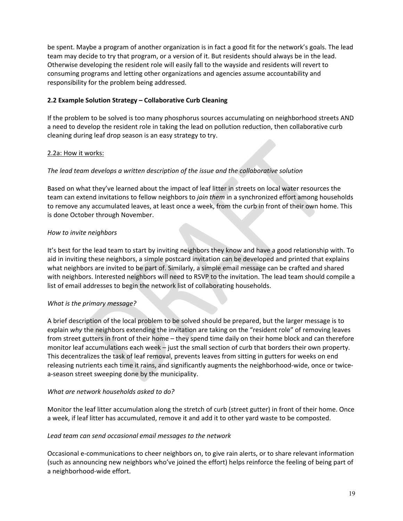be spent. Maybe a program of another organization is in fact a good fit for the network's goals. The lead team may decide to try that program, or a version of it. But residents should always be in the lead. Otherwise developing the resident role will easily fall to the wayside and residents will revert to consuming programs and letting other organizations and agencies assume accountability and responsibility for the problem being addressed.

## **2.2 Example Solution Strategy – Collaborative Curb Cleaning**

If the problem to be solved is too many phosphorus sources accumulating on neighborhood streets AND a need to develop the resident role in taking the lead on pollution reduction, then collaborative curb cleaning during leaf drop season is an easy strategy to try.

## 2.2a: How it works:

## The lead team develops a written description of the issue and the collaborative solution

Based on what they've learned about the impact of leaf litter in streets on local water resources the team can extend invitations to fellow neighbors to *join them* in a synchronized effort among households to remove any accumulated leaves, at least once a week, from the curb in front of their own home. This is done October through November.

## *How to invite neighbors*

It's best for the lead team to start by inviting neighbors they know and have a good relationship with. To aid in inviting these neighbors, a simple postcard invitation can be developed and printed that explains what neighbors are invited to be part of. Similarly, a simple email message can be crafted and shared with neighbors. Interested neighbors will need to RSVP to the invitation. The lead team should compile a list of email addresses to begin the network list of collaborating households.

## *What is the primary message?*

A brief description of the local problem to be solved should be prepared, but the larger message is to explain why the neighbors extending the invitation are taking on the "resident role" of removing leaves from street gutters in front of their home – they spend time daily on their home block and can therefore monitor leaf accumulations each week  $-$  just the small section of curb that borders their own property. This decentralizes the task of leaf removal, prevents leaves from sitting in gutters for weeks on end releasing nutrients each time it rains, and significantly augments the neighborhood-wide, once or twicea-season street sweeping done by the municipality.

## *What are network households asked to do?*

Monitor the leaf litter accumulation along the stretch of curb (street gutter) in front of their home. Once a week, if leaf litter has accumulated, remove it and add it to other yard waste to be composted.

## Lead team can send occasional email messages to the network

Occasional e-communications to cheer neighbors on, to give rain alerts, or to share relevant information (such as announcing new neighbors who've joined the effort) helps reinforce the feeling of being part of a neighborhood-wide effort.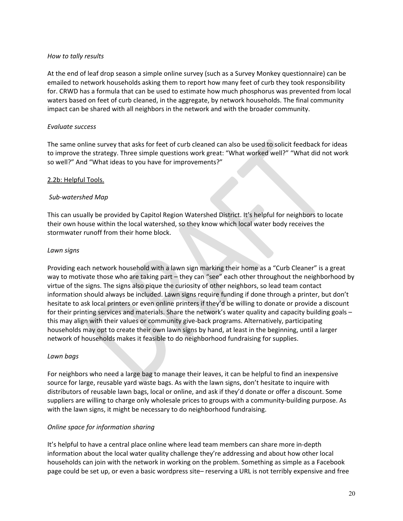## *How to tally results*

At the end of leaf drop season a simple online survey (such as a Survey Monkey questionnaire) can be emailed to network households asking them to report how many feet of curb they took responsibility for. CRWD has a formula that can be used to estimate how much phosphorus was prevented from local waters based on feet of curb cleaned, in the aggregate, by network households. The final community impact can be shared with all neighbors in the network and with the broader community.

## *Evaluate success*

The same online survey that asks for feet of curb cleaned can also be used to solicit feedback for ideas to improve the strategy. Three simple questions work great: "What worked well?" "What did not work so well?" And "What ideas to you have for improvements?"

## 2.2b: Helpful Tools.

## *Sub-watershed Map*

This can usually be provided by Capitol Region Watershed District. It's helpful for neighbors to locate their own house within the local watershed, so they know which local water body receives the stormwater runoff from their home block.

## *Lawn signs*

Providing each network household with a lawn sign marking their home as a "Curb Cleaner" is a great way to motivate those who are taking part – they can "see" each other throughout the neighborhood by virtue of the signs. The signs also pique the curiosity of other neighbors, so lead team contact information should always be included. Lawn signs require funding if done through a printer, but don't hesitate to ask local printers or even online printers if they'd be willing to donate or provide a discount for their printing services and materials. Share the network's water quality and capacity building goals  $$ this may align with their values or community give-back programs. Alternatively, participating households may opt to create their own lawn signs by hand, at least in the beginning, until a larger network of households makes it feasible to do neighborhood fundraising for supplies.

## *Lawn bags*

For neighbors who need a large bag to manage their leaves, it can be helpful to find an inexpensive source for large, reusable yard waste bags. As with the lawn signs, don't hesitate to inquire with distributors of reusable lawn bags, local or online, and ask if they'd donate or offer a discount. Some suppliers are willing to charge only wholesale prices to groups with a community-building purpose. As with the lawn signs, it might be necessary to do neighborhood fundraising.

## *Online space for information sharing*

It's helpful to have a central place online where lead team members can share more in-depth information about the local water quality challenge they're addressing and about how other local households can join with the network in working on the problem. Something as simple as a Facebook page could be set up, or even a basic wordpress site– reserving a URL is not terribly expensive and free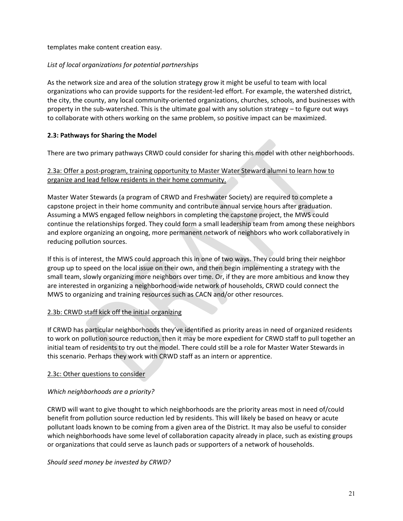templates make content creation easy.

# List of local organizations for potential partnerships

As the network size and area of the solution strategy grow it might be useful to team with local organizations who can provide supports for the resident-led effort. For example, the watershed district, the city, the county, any local community-oriented organizations, churches, schools, and businesses with property in the sub-watershed. This is the ultimate goal with any solution strategy  $-$  to figure out ways to collaborate with others working on the same problem, so positive impact can be maximized.

# **2.3: Pathways for Sharing the Model**

There are two primary pathways CRWD could consider for sharing this model with other neighborhoods.

# 2.3a: Offer a post-program, training opportunity to Master Water Steward alumni to learn how to organize and lead fellow residents in their home community.

Master Water Stewards (a program of CRWD and Freshwater Society) are required to complete a capstone project in their home community and contribute annual service hours after graduation. Assuming a MWS engaged fellow neighbors in completing the capstone project, the MWS could continue the relationships forged. They could form a small leadership team from among these neighbors and explore organizing an ongoing, more permanent network of neighbors who work collaboratively in reducing pollution sources.

If this is of interest, the MWS could approach this in one of two ways. They could bring their neighbor group up to speed on the local issue on their own, and then begin implementing a strategy with the small team, slowly organizing more neighbors over time. Or, if they are more ambitious and know they are interested in organizing a neighborhood-wide network of households, CRWD could connect the MWS to organizing and training resources such as CACN and/or other resources.

# 2.3b: CRWD staff kick off the initial organizing

If CRWD has particular neighborhoods they've identified as priority areas in need of organized residents to work on pollution source reduction, then it may be more expedient for CRWD staff to pull together an initial team of residents to try out the model. There could still be a role for Master Water Stewards in this scenario. Perhaps they work with CRWD staff as an intern or apprentice.

# 2.3c: Other questions to consider

# *Which neighborhoods are a priority?*

CRWD will want to give thought to which neighborhoods are the priority areas most in need of/could benefit from pollution source reduction led by residents. This will likely be based on heavy or acute pollutant loads known to be coming from a given area of the District. It may also be useful to consider which neighborhoods have some level of collaboration capacity already in place, such as existing groups or organizations that could serve as launch pads or supporters of a network of households.

# Should seed money be invested by CRWD?